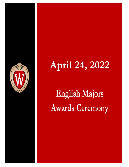

# **April 24, 2022**

# **English Majors Awards Ceremony**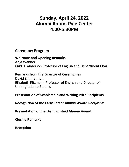## **Sunday, April 24, 2022 Alumni Room, Pyle Center 4:00-5:30PM**

## **Ceremony Program**

**Welcome and Opening Remarks** Anja Wanner Enid H. Anderson Professor of English and Department Chair

### **Remarks from the Director of Ceremonies**

David Zimmerman Elizabeth Ritzmann Professor of English and Director of Undergraduate Studies

## **Presentation of Scholarship and Writing Prize Recipients**

**Recognition of the Early Career Alumni Award Recipients**

**Presentation of the Distinguished Alumni Award**

**Closing Remarks** 

**Reception**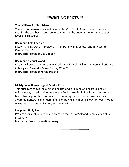## **\*\*WRITING PRIZES\*\***

#### **The William F. Vilas Prizes**

These prizes were established by Anna M. Vilas in 1912 and are awarded each year for the two best expository essays written by undergraduates in an upperlevel English courses

**Recipient:** Cole Roecker **Essay:** "Singing Out of Time: Avian Atemporality in Medieval and Nineteenth-Century Texts" **Instructor:** Professor Lisa Cooper

**Recipient**: Samuel Wood

**Essay:** "When Conquering a New World: English Colonial Imagination and Critique in Margaret Cavendish's *The Blazing World*" **Instructor:** Professor Karen Britland

**McMynn Williams Digital Media Prize**

This prize recognizes the outstanding use of digital media to express ideas in unique ways, to re-imagine the work of English studies in English classes, and to take advantage of the affordances of emerging media. Projects winning this award demonstrate an understanding of how digital media allow for novel modes of expression, communication, and persuasion.

**Recipient**: Holly Puza

**Project:** "Musical Reflections Concerning the Loss of Self and Complexities of Re-Discovery"

**Instructor:** Professor Kristina Huang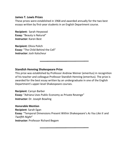#### **James T. Lewis Prizes**

These prizes were established in 1968 and awarded annually for the two best essays written by first-year students in an English Department course.

**Recipient:** Sarah Heywood **Essay:** "Beauty is Natural" **Instructor:** Karen Best

**Recipient:** Olivia Polich **Essay:** "The Child Behind the Cell" **Instructor:** Josh Kalscheur

#### **Standish Henning Shakespeare Prize**

This prize was established by Professor Andrew Weiner (emeritus) in recognition of his teacher and colleague Professor Standish Henning (emeritus). The prize is awarded for the best essay written by an undergraduate in one of the English Department's upper-level Shakespeare courses.

**Recipient**: Carsyn Barber **Essay:** "Adriana Uses Public Economy as Private Revenge" **Instructor:** Dr. Joseph Bowling

**Honorable Mention Recipient**: Sarah Egan **Essay**: "Temporal Dimensions Present Within Shakespeare's *As You Like It* and *Twelfth Night*" **Instructor:** Professor Richard Begam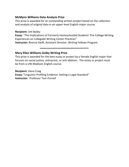#### **McMynn Williams Data Analysis Prize**

This prize is awarded for an outstanding written project based on the collection and analysis of original data in an upper-level English major course.

#### **Recipient**: Jett Bailey

**Essay:** "The Implications of Formerly Homeschooled Students' Pre-College Writing Experiences on Collegiate Writing Center Practices" **Instructor:** Brenna Swift, Assistant Director, Writing Fellows Program

#### **Mary Ellen Williams Golby Writing Prize**

This prize is awarded for the best essay or project by a female English major that focuses on social justice, antiracism, or anti-ableism. The essay or project must be from a UW-Madison English course.

**Recipient**: Dana Craig **Essay:** "Linguistic Profiling Evidence: Setting a Legal Standard" **Instructor:** Professor Tom Purnell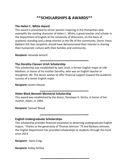## **\*\*SCHOLARSHIPS & AWARDS\*\***

#### **The Helen C. White Award**

This award is presented to senior women majoring in the Humanities who exemplify the sterling character of Helen C. White, a great teacher and scholar in the Department of English at the University of Wisconsin, on the basis of academic standing and a deep interest in the life of the community. Donor Ineva Baldwin felt that recipients should have demonstrated their interest in sharing their humanistic culture with their families and community.

**Recipient:** Amanda Jentsch

#### **The Dorothy Classen Urish Scholarship**

This scholarship was established by Jack Urish, a former English major at UW-Madison, in honor of his mother Dorothy, who was an English teacher in Stoughton, WI. The donor wishes to offer financial support toward the academic success of a senior English major.

**Recipient:** Austin Kiesow

#### **Helen Black Bennett Memorial Scholarship**

This award was established by the donor, Penelope G. Sticha, in honor of her mother, Helen, in 1994.

**Recipient:** Samuel Wood

#### **English Undergraduate Scholarships**

This scholarship provides financial assistance to deserving undergraduate English majors. Thanks to the generosity of Thomas Johnson '73 and Barbara Johnson, the English Department has provided scholarships to students through this fund since 2014.

**Recipient:** Dana Craig

**Recipient:** Kelley Schlise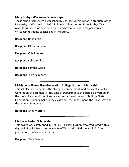#### **Mary Brabyn Wackman Scholarships**

These scholarships were established by Charline M. Wackman, a graduate of the University of Wisconsin in 1961, in honor of her mother, Mary Brabyn Wackman. Awards are based on academic merit and given to English majors who are Wisconsin residents specializing in literature.

**Recipient:** Dana Craig

**Recipient**: Olivia Dunham

**Recipient:** Cole Roecker

**Recipient:** Kelley Schlise

**Recipient**: Samuel Wood

**Recipient:** Julia Zeimentz

#### **McMynn Williams First-Generation College Student Scholarship**

This scholarship recognizes the strength, commitment, and perspective of First-Generation English majors. The English Department Scholarship is awarded on the basis of academic merit and an appreciation of the contributions First-Generation students make in the classroom, the department, the university, and the wider community.

**Recipient:** Anna Watters

#### **Lila Hicks Furber Scholarship**

This award was established in 1995 by Lila Hicks Furber, who graduated with a degree in English from the University of Wisconsin-Madison in 1926. After graduation, Lila became a teacher.

**Recipient:** Cole Roecker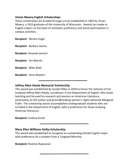#### **Vivian Mowry English Scholarships**

These scholarships are funded through a trust established in 1963 by Vivian Mowry, a 1910 graduate of the University of Wisconsin. Awards are made to English majors on the basis of scholastic proficiency and active participation in campus activities.

**Recipient**: Miriam Engel

**Recipient**: Barbara Hanna

**Recipient**: Amanda Jentsch

**Recipient**: Sini Marcks

**Recipient**: Miles Roth

**Recipient**: Anna Watters

#### **Jeffrey Allen Steele Memorial Scholarship**

This award was established by Jocelyn Riley in 2018 to honor the memory of her husband Jeffrey Allen Steele, a professor in the Department of English, who loved teaching and focused his research and passion on American Literature, particularly on the author and groundbreaking women's rights advocate Margaret Fuller. The scholarship assists accomplished undergraduate students who are enrolled in the Department of English, with a preference for those studying American literature.

**Recipient:** Lindsey Knuth

#### **Mary Ellen Williams Golby Scholarship**

This award was established to recognize an outstanding female English major, with preference for a student from a Targeted Minority.

**Recipient:** Roshnie Rupnarain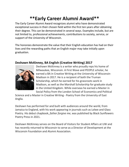## **\*\*Early Career Alumni Award\*\***

The Early Career Alumni Award recognizes alumni who have demonstrated exceptional success in their chosen field within the first ten years after obtaining their degree. This can be demonstrated in several ways. Examples include, but are not limited to, professional achievements, contributions to society, service, or support of the University of Wisconsin.

The honorees demonstrate the value that their English education has had on their lives and the rewarding paths that an English major may take initially upon graduation.

#### **Deshawn McKinney, BA English (Creative Writing) 2017**



Deshawn McKinney is a writer who proudly reps his home of Milwaukee, Wisconsin. A First Wave and PEOPLE scholar, he earned a BA in Creative Writing at the University of Wisconsin-Madison in 2017. He is a recipient of both the Truman Scholarship, which he earned for his grassroots work in Madison, as well as the Marshall Scholarship for graduate study in the United Kingdom. While overseas he earned a Master in Social Policy from the London School of Economics and Political

Science and a Master in Creative Writing - Poetry from the University of East Anglia.

Deshawn has performed for and built with audiences around the world, from Jamaica to England, with his work appearing in journals such as Lolwe and Glass Poetry. His debut chapbook, *father forgive me*, was published by Black Sunflowers Poetry Press in 2021.

Deshawn McKinney serves on the Board of Visitors for Student Affairs at UW and has recently returned to Wisconsin to serve as a Director of Development at the Wisconsin Foundation and Alumni Association.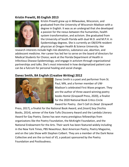#### **Kristin Prewitt, BS English 2013**



Kristin Prewitt grew up in Milwaukee, Wisconsin, and graduated from the University of Wisconsin-Madison with a degree in English. It was as an undergrad that she developed a passion for the nexus between the humanities, health system transformation, and activism. She graduated from the University of South Florida with dual M.D. and M.P.H. in Epidemiology degrees. She is currently an OB/GYN resident physician at Oregon Health & Science University. Her

research interests include high-risk obstetrics, substance use, abortion, and adolescent medicine. Her career has led her to serve on the board of directors for Medical Students for Choice; work at the Florida Department of Health in Infectious Disease Epidemiology; and engage in activism through organizational partnerships and talks. She's most interested in how destigmatized patient care can be a fulcrum for personal healing and social change.

#### **Danez Smith, BA English (Creative Writing) 2012**



Danez Smith is a poet and performer from St. Paul, MN, and a former member of UW-Madison's celebrated First Wave program. They are the author of three award winning poetry books *Homie* (Graywolf Press, 2020), a finalist for the 2020 [National Book Critics Circle](https://en.wikipedia.org/wiki/National_Book_Critics_Circle_Award)  [Award](https://en.wikipedia.org/wiki/National_Book_Critics_Circle_Award) for Poetry, *Don't Call Us Dead* (Graywolf

Press, 2017), a finalist for the National Book Award, and *[insert] boy* (YesYes Books, 2014), winner of the Kate Tufts Discovery Award and the Lambda Literary Award for Gay Poetry. Danez has won many prestigious fellowships from organizatons like the Poetry Foundation, the McKnight Foundation, and the National Endowment for the Arts. Their work has been featured widely including in the New York Times, PBS NewsHour, Best American Poetry, Poetry Magazine, and on the Late Show with Stephen Colbert. They are a member of the Dark Noise Collective and are the co-host of *VS*, a podcast sponsored by the Poetry Foundation and Postloudness.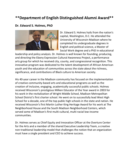## **\*\*Department of English Distinguished Alumni Award\*\***

#### **Dr. Edward S. Holmes, PhD**



Dr. Edward S. Holmes hails from the nation's capital, Washington, D.C. He attended the University of Wisconsin-Madison where he completed his undergraduate degrees in English and political science, a Master of Social Work degree and a PhD in educational

leadership and policy analysis. Dr. Holmes is well known for founding, producing, and directing the Ebony Expression Cultural Awareness Project, a performance arts group for which he received city, county, and congressional recognition. This innovative program was dedicated to the talent development of African American youth and the education of communities across the state about the richness, significance, and contributions of Black culture to American society.

His 40-year career in the Madison community has focused on the implementation of creative community-based arts and educational programs as well as the creation of inclusive, engaging, academically successful public schools. Holmes received Wisconsin's prestigious Milken Educator of the Year award in 2003 for his work in the revitalization of Wright Middle School, Madison Metropolitan School District's first charter school. He went on to successfully lead West High School for a decade, one of the top public high schools in the state and nation. He received Wisconsin's first Martin Luther King Heritage Award for his work at The Neighborhood House and the South Madison Neighborhood Centers, which served some of Madison's first multi-cultural, multi-racial low-income communities.

Dr. Holmes serves as Chief Equity and Innovation Officer at the Overture Center for the Arts and a member of the shared Executive Leadership Team, a creative non-traditional leadership model that challenges the notion that an organization must have a single president and CEO to achieve success.